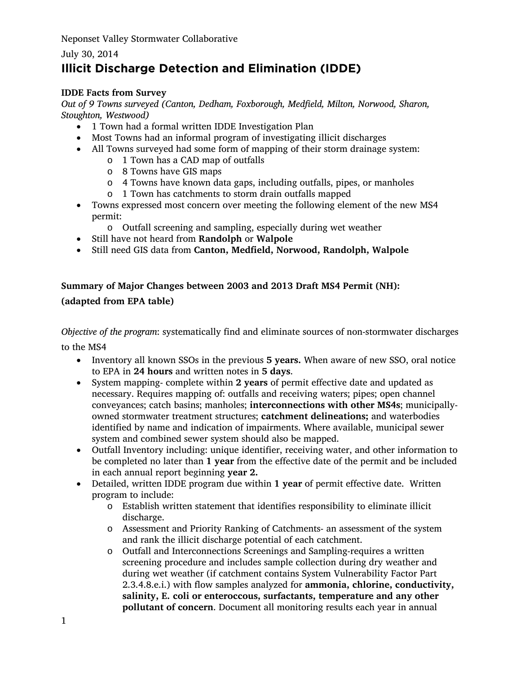Neponset Valley Stormwater Collaborative

July 30, 2014

## **Illicit Discharge Detection and Elimination (IDDE)**

## **IDDE Facts from Survey**

*Out of 9 Towns surveyed (Canton, Dedham, Foxborough, Medfield, Milton, Norwood, Sharon, Stoughton, Westwood)* 

- 1 Town had a formal written IDDE Investigation Plan
- Most Towns had an informal program of investigating illicit discharges
- All Towns surveyed had some form of mapping of their storm drainage system:
	- o 1 Town has a CAD map of outfalls
	- o 8 Towns have GIS maps
	- o 4 Towns have known data gaps, including outfalls, pipes, or manholes
	- o 1 Town has catchments to storm drain outfalls mapped
- Towns expressed most concern over meeting the following element of the new MS4 permit:
	- o Outfall screening and sampling, especially during wet weather
- Still have not heard from **Randolph** or **Walpole**
- Still need GIS data from **Canton, Medfield, Norwood, Randolph, Walpole**

## **Summary of Major Changes between 2003 and 2013 Draft MS4 Permit (NH):**

## **(adapted from EPA table)**

*Objective of the program*: systematically find and eliminate sources of non-stormwater discharges to the MS4

- Inventory all known SSOs in the previous **5 years.** When aware of new SSO, oral notice to EPA in **24 hours** and written notes in **5 days**.
- System mapping- complete within **2 years** of permit effective date and updated as necessary. Requires mapping of: outfalls and receiving waters; pipes; open channel conveyances; catch basins; manholes; **interconnections with other MS4s**; municipallyowned stormwater treatment structures; **catchment delineations;** and waterbodies identified by name and indication of impairments. Where available, municipal sewer system and combined sewer system should also be mapped.
- Outfall Inventory including: unique identifier, receiving water, and other information to be completed no later than **1 year** from the effective date of the permit and be included in each annual report beginning **year 2.**
- Detailed, written IDDE program due within **1 year** of permit effective date. Written program to include:
	- o Establish written statement that identifies responsibility to eliminate illicit discharge.
	- o Assessment and Priority Ranking of Catchments- an assessment of the system and rank the illicit discharge potential of each catchment.
	- o Outfall and Interconnections Screenings and Sampling-requires a written screening procedure and includes sample collection during dry weather and during wet weather (if catchment contains System Vulnerability Factor Part 2.3.4.8.e.i.) with flow samples analyzed for **ammonia, chlorine, conductivity, salinity, E. coli or enteroccous, surfactants, temperature and any other pollutant of concern**. Document all monitoring results each year in annual